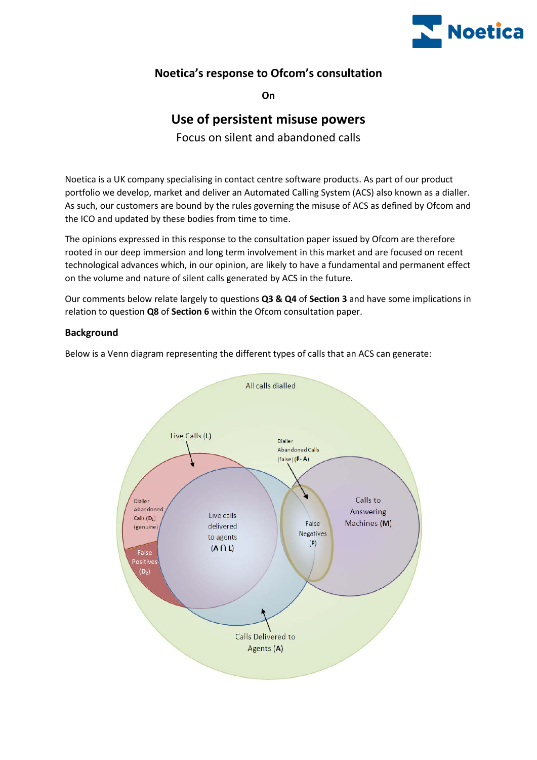

# **Noetica's response to Ofcom's consultation**

**On**

# **Use of persistent misuse powers**

Focus on silent and abandoned calls

Noetica is a UK company specialising in contact centre software products. As part of our product portfolio we develop, market and deliver an Automated Calling System (ACS) also known as a dialler. As such, our customers are bound by the rules governing the misuse of ACS as defined by Ofcom and the ICO and updated by these bodies from time to time.

The opinions expressed in this response to the consultation paper issued by Ofcom are therefore rooted in our deep immersion and long term involvement in this market and are focused on recent technological advances which, in our opinion, are likely to have a fundamental and permanent effect on the volume and nature of silent calls generated by ACS in the future.

Our comments below relate largely to questions **Q3 & Q4** of **Section 3** and have some implications in relation to question **Q8** of **Section 6** within the Ofcom consultation paper.

# **Background**

Below is a Venn diagram representing the different types of calls that an ACS can generate:

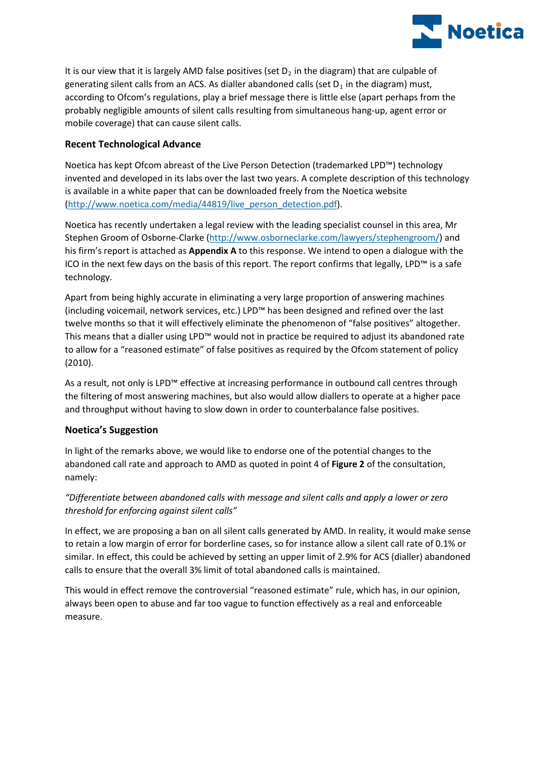

It is our view that it is largely AMD false positives (set  $D_2$  in the diagram) that are culpable of generating silent calls from an ACS. As dialler abandoned calls (set  $D_1$  in the diagram) must, according to Ofcom's regulations, play a brief message there is little else (apart perhaps from the probably negligible amounts of silent calls resulting from simultaneous hang-up, agent error or mobile coverage) that can cause silent calls.

# **Recent Technological Advance**

Noetica has kept Ofcom abreast of the Live Person Detection (trademarked LPD™) technology invented and developed in its labs over the last two years. A complete description of this technology is available in a white paper that can be downloaded freely from the Noetica website [\(http://www.noetica.com/media/44819/live\\_person\\_detection.pdf\)](http://www.noetica.com/media/44819/live_person_detection.pdf).

Noetica has recently undertaken a legal review with the leading specialist counsel in this area, Mr Stephen Groom of Osborne-Clarke [\(http://www.osborneclarke.com/lawyers/stephengroom/\)](http://www.osborneclarke.com/lawyers/stephengroom/) and his firm's report is attached as **Appendix A** to this response. We intend to open a dialogue with the ICO in the next few days on the basis of this report. The report confirms that legally, LPD™ is a safe technology.

Apart from being highly accurate in eliminating a very large proportion of answering machines (including voicemail, network services, etc.) LPD™ has been designed and refined over the last twelve months so that it will effectively eliminate the phenomenon of "false positives" altogether. This means that a dialler using LPD™ would not in practice be required to adjust its abandoned rate to allow for a "reasoned estimate" of false positives as required by the Ofcom statement of policy (2010).

As a result, not only is LPD™ effective at increasing performance in outbound call centres through the filtering of most answering machines, but also would allow diallers to operate at a higher pace and throughput without having to slow down in order to counterbalance false positives.

## **Noetica's Suggestion**

In light of the remarks above, we would like to endorse one of the potential changes to the abandoned call rate and approach to AMD as quoted in point 4 of **Figure 2** of the consultation, namely:

# *"Differentiate between abandoned calls with message and silent calls and apply a lower or zero threshold for enforcing against silent calls"*

In effect, we are proposing a ban on all silent calls generated by AMD. In reality, it would make sense to retain a low margin of error for borderline cases, so for instance allow a silent call rate of 0.1% or similar. In effect, this could be achieved by setting an upper limit of 2.9% for ACS (dialler) abandoned calls to ensure that the overall 3% limit of total abandoned calls is maintained.

This would in effect remove the controversial "reasoned estimate" rule, which has, in our opinion, always been open to abuse and far too vague to function effectively as a real and enforceable measure.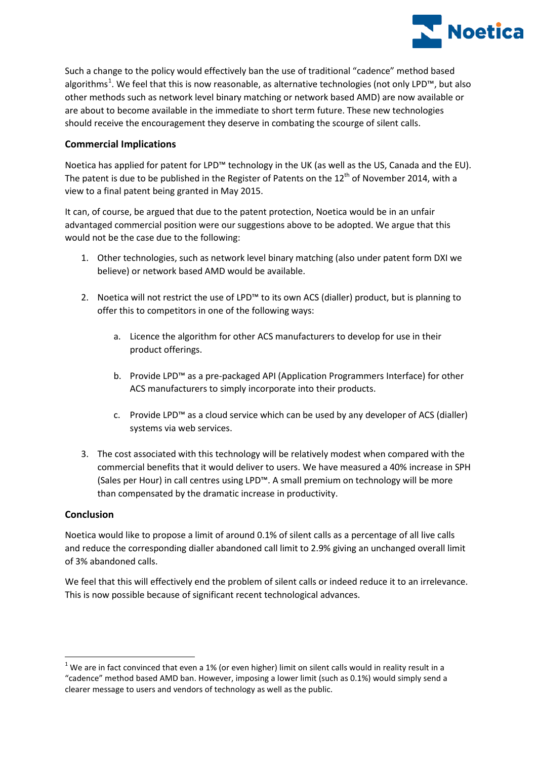

Such a change to the policy would effectively ban the use of traditional "cadence" method based algorithms<sup>[1](#page-2-0)</sup>. We feel that this is now reasonable, as alternative technologies (not only LPD™, but also other methods such as network level binary matching or network based AMD) are now available or are about to become available in the immediate to short term future. These new technologies should receive the encouragement they deserve in combating the scourge of silent calls.

## **Commercial Implications**

Noetica has applied for patent for LPD™ technology in the UK (as well as the US, Canada and the EU). The patent is due to be published in the Register of Patents on the  $12<sup>th</sup>$  of November 2014, with a view to a final patent being granted in May 2015.

It can, of course, be argued that due to the patent protection, Noetica would be in an unfair advantaged commercial position were our suggestions above to be adopted. We argue that this would not be the case due to the following:

- 1. Other technologies, such as network level binary matching (also under patent form DXI we believe) or network based AMD would be available.
- 2. Noetica will not restrict the use of LPD™ to its own ACS (dialler) product, but is planning to offer this to competitors in one of the following ways:
	- a. Licence the algorithm for other ACS manufacturers to develop for use in their product offerings.
	- b. Provide LPD™ as a pre-packaged API (Application Programmers Interface) for other ACS manufacturers to simply incorporate into their products.
	- c. Provide LPD™ as a cloud service which can be used by any developer of ACS (dialler) systems via web services.
- 3. The cost associated with this technology will be relatively modest when compared with the commercial benefits that it would deliver to users. We have measured a 40% increase in SPH (Sales per Hour) in call centres using LPD™. A small premium on technology will be more than compensated by the dramatic increase in productivity.

## **Conclusion**

 $\overline{a}$ 

Noetica would like to propose a limit of around 0.1% of silent calls as a percentage of all live calls and reduce the corresponding dialler abandoned call limit to 2.9% giving an unchanged overall limit of 3% abandoned calls.

We feel that this will effectively end the problem of silent calls or indeed reduce it to an irrelevance. This is now possible because of significant recent technological advances.

<span id="page-2-0"></span> $1$  We are in fact convinced that even a 1% (or even higher) limit on silent calls would in reality result in a "cadence" method based AMD ban. However, imposing a lower limit (such as 0.1%) would simply send a clearer message to users and vendors of technology as well as the public.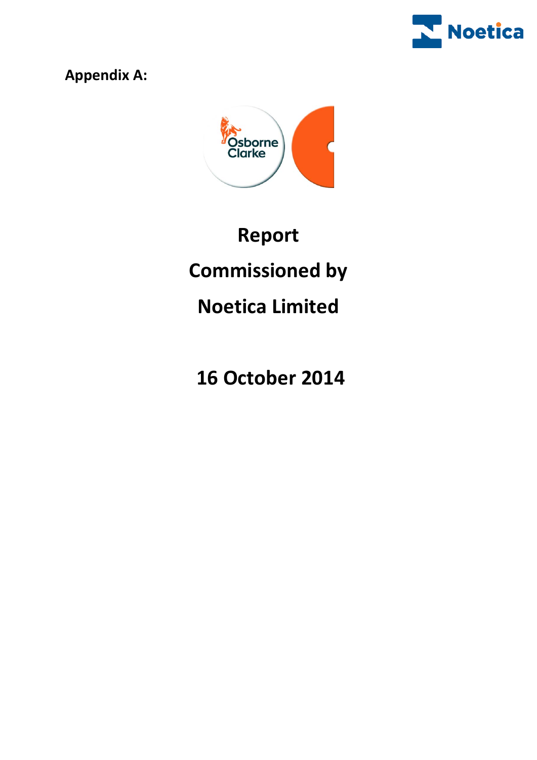

**Appendix A:**



# **Report Commissioned by Noetica Limited**

**16 October 2014**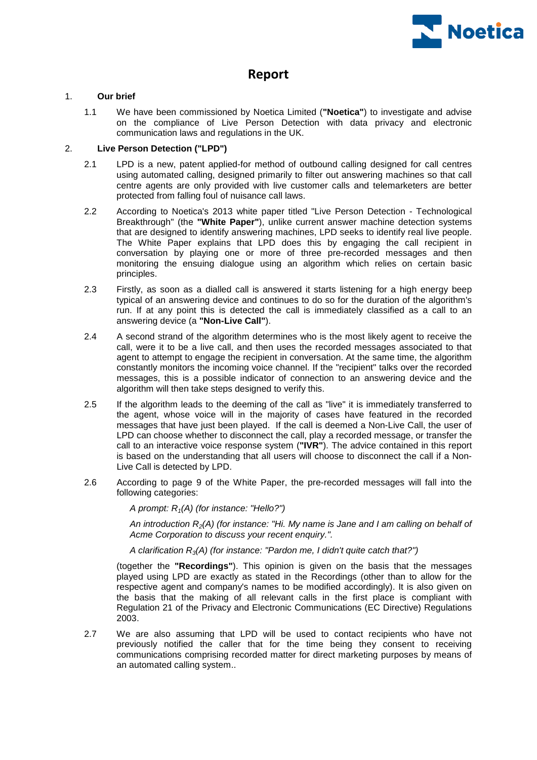

# **Report**

### 1. **Our brief**

1.1 We have been commissioned by Noetica Limited (**"Noetica"**) to investigate and advise on the compliance of Live Person Detection with data privacy and electronic communication laws and regulations in the UK.

### 2. **Live Person Detection ("LPD")**

- 2.1 LPD is a new, patent applied-for method of outbound calling designed for call centres using automated calling, designed primarily to filter out answering machines so that call centre agents are only provided with live customer calls and telemarketers are better protected from falling foul of nuisance call laws.
- 2.2 According to Noetica's 2013 white paper titled "Live Person Detection Technological Breakthrough" (the **"White Paper"**), unlike current answer machine detection systems that are designed to identify answering machines, LPD seeks to identify real live people. The White Paper explains that LPD does this by engaging the call recipient in conversation by playing one or more of three pre-recorded messages and then monitoring the ensuing dialogue using an algorithm which relies on certain basic principles.
- 2.3 Firstly, as soon as a dialled call is answered it starts listening for a high energy beep typical of an answering device and continues to do so for the duration of the algorithm's run. If at any point this is detected the call is immediately classified as a call to an answering device (a **"Non-Live Call"**).
- 2.4 A second strand of the algorithm determines who is the most likely agent to receive the call, were it to be a live call, and then uses the recorded messages associated to that agent to attempt to engage the recipient in conversation. At the same time, the algorithm constantly monitors the incoming voice channel. If the "recipient" talks over the recorded messages, this is a possible indicator of connection to an answering device and the algorithm will then take steps designed to verify this.
- <span id="page-4-0"></span>2.5 If the algorithm leads to the deeming of the call as "live" it is immediately transferred to the agent, whose voice will in the majority of cases have featured in the recorded messages that have just been played. If the call is deemed a Non-Live Call, the user of LPD can choose whether to disconnect the call, play a recorded message, or transfer the call to an interactive voice response system (**"IVR"**). The advice contained in this report is based on the understanding that all users will choose to disconnect the call if a Non-Live Call is detected by LPD.
- 2.6 According to page 9 of the White Paper, the pre-recorded messages will fall into the following categories:

*A prompt: R1(A) (for instance: "Hello?")*

*An introduction R2(A) (for instance: "Hi. My name is Jane and I am calling on behalf of Acme Corporation to discuss your recent enquiry.".*

*A clarification R3(A) (for instance: "Pardon me, I didn't quite catch that?")*

(together the **"Recordings"**). This opinion is given on the basis that the messages played using LPD are exactly as stated in the Recordings (other than to allow for the respective agent and company's names to be modified accordingly). It is also given on the basis that the making of all relevant calls in the first place is compliant with Regulation 21 of the Privacy and Electronic Communications (EC Directive) Regulations 2003.

2.7 We are also assuming that LPD will be used to contact recipients who have not previously notified the caller that for the time being they consent to receiving communications comprising recorded matter for direct marketing purposes by means of an automated calling system..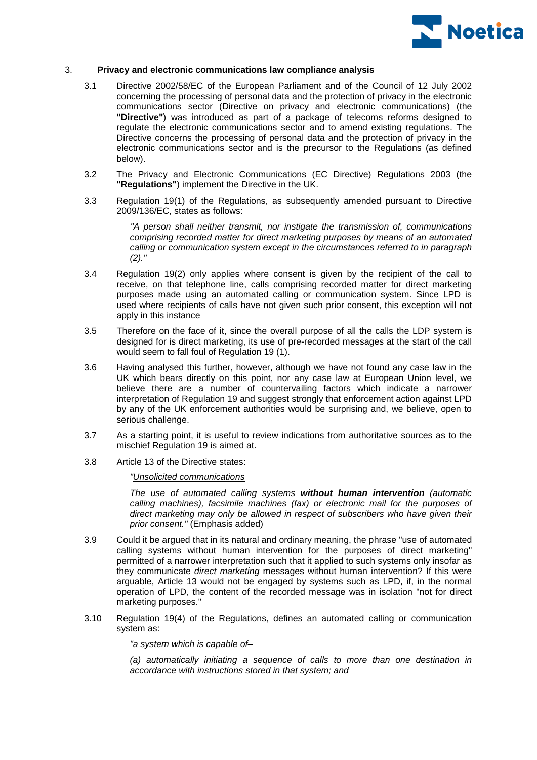

### 3. **Privacy and electronic communications law compliance analysis**

- 3.1 Directive 2002/58/EC of the European Parliament and of the Council of 12 July 2002 concerning the processing of personal data and the protection of privacy in the electronic communications sector (Directive on privacy and electronic communications) (the **"Directive"**) was introduced as part of a package of telecoms reforms designed to regulate the electronic communications sector and to amend existing regulations. The Directive concerns the processing of personal data and the protection of privacy in the electronic communications sector and is the precursor to the Regulations (as defined below).
- 3.2 The Privacy and Electronic Communications (EC Directive) Regulations 2003 (the **"Regulations"**) implement the Directive in the UK.
- 3.3 Regulation 19(1) of the Regulations, as subsequently amended pursuant to Directive 2009/136/EC, states as follows:

*"A person shall neither transmit, nor instigate the transmission of, communications comprising recorded matter for direct marketing purposes by means of an automated calling or communication system except in the circumstances referred to in paragraph (2)."*

- 3.4 Regulation 19(2) only applies where consent is given by the recipient of the call to receive, on that telephone line, calls comprising recorded matter for direct marketing purposes made using an automated calling or communication system. Since LPD is used where recipients of calls have not given such prior consent, this exception will not apply in this instance
- 3.5 Therefore on the face of it, since the overall purpose of all the calls the LDP system is designed for is direct marketing, its use of pre-recorded messages at the start of the call would seem to fall foul of Regulation 19 (1).
- 3.6 Having analysed this further, however, although we have not found any case law in the UK which bears directly on this point, nor any case law at European Union level, we believe there are a number of countervailing factors which indicate a narrower interpretation of Regulation 19 and suggest strongly that enforcement action against LPD by any of the UK enforcement authorities would be surprising and, we believe, open to serious challenge.
- 3.7 As a starting point, it is useful to review indications from authoritative sources as to the mischief Regulation 19 is aimed at.
- 3.8 Article 13 of the Directive states:

*"Unsolicited communications*

*The use of automated calling systems without human intervention (automatic calling machines), facsimile machines (fax) or electronic mail for the purposes of direct marketing may only be allowed in respect of subscribers who have given their prior consent."* (Emphasis added)

- 3.9 Could it be argued that in its natural and ordinary meaning, the phrase "use of automated calling systems without human intervention for the purposes of direct marketing" permitted of a narrower interpretation such that it applied to such systems only insofar as they communicate *direct marketing* messages without human intervention? If this were arguable, Article 13 would not be engaged by systems such as LPD, if, in the normal operation of LPD, the content of the recorded message was in isolation "not for direct marketing purposes."
- 3.10 Regulation 19(4) of the Regulations, defines an automated calling or communication system as:

*"a system which is capable of–*

*(a) automatically initiating a sequence of calls to more than one destination in accordance with instructions stored in that system; and*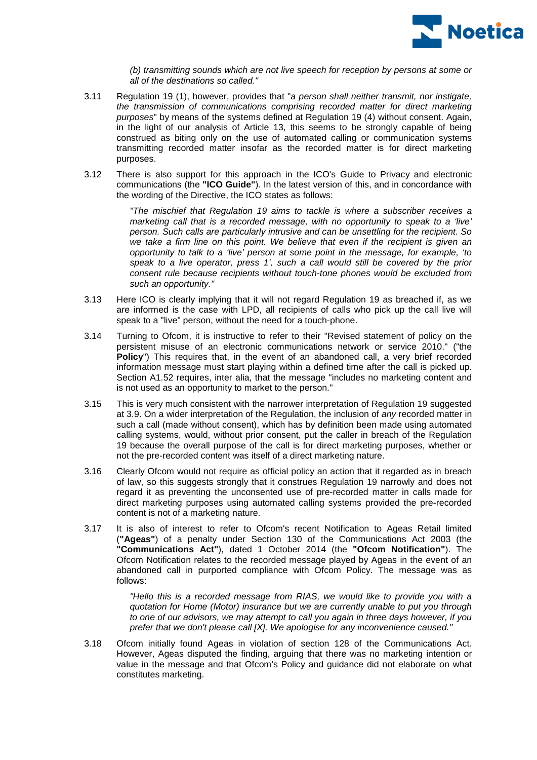

*(b) transmitting sounds which are not live speech for reception by persons at some or all of the destinations so called."*

- 3.11 Regulation 19 (1), however, provides that "*a person shall neither transmit, nor instigate, the transmission of communications comprising recorded matter for direct marketing purposes*" by means of the systems defined at Regulation 19 (4) without consent. Again, in the light of our analysis of Article 13, this seems to be strongly capable of being construed as biting only on the use of automated calling or communication systems transmitting recorded matter insofar as the recorded matter is for direct marketing purposes.
- <span id="page-6-0"></span>3.12 There is also support for this approach in the ICO's Guide to Privacy and electronic communications (the **"ICO Guide"**). In the latest version of this, and in concordance with the wording of the Directive, the ICO states as follows:

*"The mischief that Regulation 19 aims to tackle is where a subscriber receives a marketing call that is a recorded message, with no opportunity to speak to a 'live' person. Such calls are particularly intrusive and can be unsettling for the recipient. So*  we take a firm line on this point. We believe that even if the recipient is given an *opportunity to talk to a 'live' person at some point in the message, for example, 'to speak to a live operator, press 1', such a call would still be covered by the prior consent rule because recipients without touch-tone phones would be excluded from such an opportunity."*

- 3.13 Here ICO is clearly implying that it will not regard Regulation 19 as breached if, as we are informed is the case with LPD, all recipients of calls who pick up the call live will speak to a "live" person, without the need for a touch-phone.
- 3.14 Turning to Ofcom, it is instructive to refer to their "Revised statement of policy on the persistent misuse of an electronic communications network or service 2010." ("the **Policy**") This requires that, in the event of an abandoned call, a very brief recorded information message must start playing within a defined time after the call is picked up. Section A1.52 requires, inter alia, that the message "includes no marketing content and is not used as an opportunity to market to the person."
- 3.15 This is very much consistent with the narrower interpretation of Regulation 19 suggested at 3.9. On a wider interpretation of the Regulation, the inclusion of *any* recorded matter in such a call (made without consent), which has by definition been made using automated calling systems, would, without prior consent, put the caller in breach of the Regulation 19 because the overall purpose of the call is for direct marketing purposes, whether or not the pre-recorded content was itself of a direct marketing nature.
- 3.16 Clearly Ofcom would not require as official policy an action that it regarded as in breach of law, so this suggests strongly that it construes Regulation 19 narrowly and does not regard it as preventing the unconsented use of pre-recorded matter in calls made for direct marketing purposes using automated calling systems provided the pre-recorded content is not of a marketing nature.
- 3.17 It is also of interest to refer to Ofcom's recent Notification to Ageas Retail limited (**"Ageas"**) of a penalty under Section 130 of the Communications Act 2003 (the **"Communications Act"**), dated 1 October 2014 (the **"Ofcom Notification"**). The Ofcom Notification relates to the recorded message played by Ageas in the event of an abandoned call in purported compliance with Ofcom Policy. The message was as follows:

*"Hello this is a recorded message from RIAS, we would like to provide you with a quotation for Home (Motor) insurance but we are currently unable to put you through to one of our advisors, we may attempt to call you again in three days however, if you prefer that we don't please call [X]. We apologise for any inconvenience caused."*

3.18 Ofcom initially found Ageas in violation of section 128 of the Communications Act. However, Ageas disputed the finding, arguing that there was no marketing intention or value in the message and that Ofcom's Policy and guidance did not elaborate on what constitutes marketing.